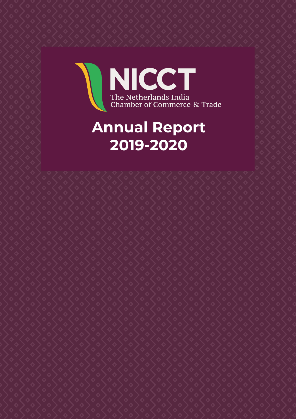# NICCT The Netherlands India<br>Chamber of Commerce & Trade

## **Annual Report 2019-2020**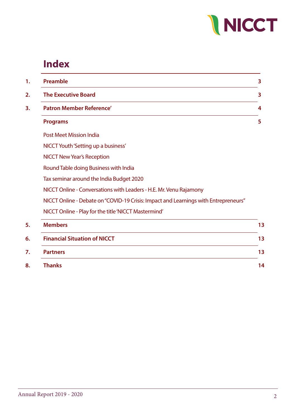

## **Index**

| Preamble                                 |                                                                                     |  |  |
|------------------------------------------|-------------------------------------------------------------------------------------|--|--|
| <b>The Executive Board</b>               |                                                                                     |  |  |
| <b>Patron Member Reference'</b>          |                                                                                     |  |  |
| <b>Programs</b>                          |                                                                                     |  |  |
| <b>Post Meet Mission India</b>           |                                                                                     |  |  |
| NICCT Youth 'Setting up a business'      |                                                                                     |  |  |
| <b>NICCT New Year's Reception</b>        |                                                                                     |  |  |
| Round Table doing Business with India    |                                                                                     |  |  |
| Tax seminar around the India Budget 2020 |                                                                                     |  |  |
|                                          | NICCT Online - Conversations with Leaders - H.E. Mr. Venu Rajamony                  |  |  |
|                                          | NICCT Online - Debate on "COVID-19 Crisis: Impact and Learnings with Entrepreneurs" |  |  |
|                                          | NICCT Online - Play for the title 'NICCT Mastermind'                                |  |  |
| <b>Members</b>                           |                                                                                     |  |  |
| <b>Financial Situation of NICCT</b>      |                                                                                     |  |  |
| <b>Partners</b>                          |                                                                                     |  |  |
| <b>Thanks</b>                            |                                                                                     |  |  |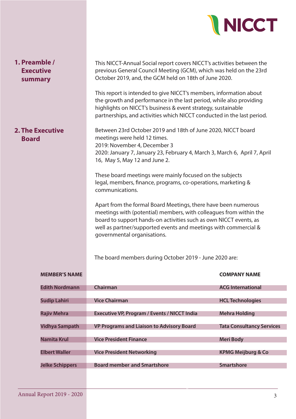

| <b>Executive</b><br>summary             | previous General Council Meeting (GCM), which was held on the 23rd<br>October 2019, and, the GCM held on 18th of June 2020.<br>This report is intended to give NICCT's members, information about                                                                                                                                                                     |                                  |  |  |  |
|-----------------------------------------|-----------------------------------------------------------------------------------------------------------------------------------------------------------------------------------------------------------------------------------------------------------------------------------------------------------------------------------------------------------------------|----------------------------------|--|--|--|
|                                         | the growth and performance in the last period, while also providing<br>highlights on NICCT's business & event strategy, sustainable<br>partnerships, and activities which NICCT conducted in the last period.                                                                                                                                                         |                                  |  |  |  |
| <b>2. The Executive</b><br><b>Board</b> | Between 23rd October 2019 and 18th of June 2020, NICCT board<br>meetings were held 12 times.<br>2019: November 4, December 3<br>2020: January 7, January 23, February 4, March 3, March 6, April 7, April<br>16, May 5, May 12 and June 2.                                                                                                                            |                                  |  |  |  |
|                                         | These board meetings were mainly focused on the subjects<br>legal, members, finance, programs, co-operations, marketing &<br>communications.                                                                                                                                                                                                                          |                                  |  |  |  |
|                                         | Apart from the formal Board Meetings, there have been numerous<br>meetings with (potential) members, with colleagues from within the<br>board to support hands-on activities such as own NICCT events, as<br>well as partner/supported events and meetings with commercial &<br>governmental organisations.<br>The board members during October 2019 - June 2020 are: |                                  |  |  |  |
|                                         |                                                                                                                                                                                                                                                                                                                                                                       |                                  |  |  |  |
| <b>MEMBER'S NAME</b>                    |                                                                                                                                                                                                                                                                                                                                                                       | <b>COMPANY NAME</b>              |  |  |  |
| <b>Edith Nordmann</b>                   | Chairman                                                                                                                                                                                                                                                                                                                                                              | <b>ACG International</b>         |  |  |  |
| <b>Sudip Lahiri</b>                     | <b>Vice Chairman</b>                                                                                                                                                                                                                                                                                                                                                  | <b>HCL Technologies</b>          |  |  |  |
| <b>Rajiv Mehra</b>                      | <b>Executive VP, Program / Events / NICCT India</b>                                                                                                                                                                                                                                                                                                                   | <b>Mehra Holding</b>             |  |  |  |
|                                         |                                                                                                                                                                                                                                                                                                                                                                       |                                  |  |  |  |
| <b>Vidhya Sampath</b>                   | <b>VP Programs and Liaison to Advisory Board</b>                                                                                                                                                                                                                                                                                                                      | <b>Tata Consultancy Services</b> |  |  |  |

Annual Report 2017-2018 2

**Namita Krul Community Community Vice President Finance Community Community Community Community Community Community** 

**Jelke Schippers Board member and Smartshore Smartshore**

**Elbert Waller Community Community Community Community Community Community Community Community Community Community Community Community Community Community Community Community Community Community Community Community Communi**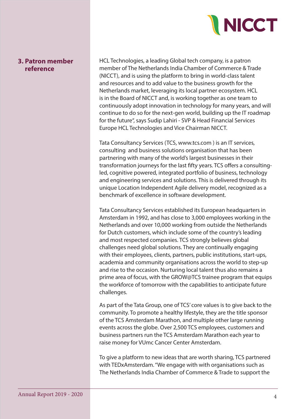

#### **3. Patron member reference**

HCL Technologies, a leading Global tech company, is a patron member of The Netherlands India Chamber of Commerce & Trade (NICCT), and is using the platform to bring in world-class talent and resources and to add value to the business growth for the Netherlands market, leveraging its local partner ecosystem. HCL is in the Board of NICCT and, is working together as one team to continuously adopt innovation in technology for many years, and will continue to do so for the next-gen world, building up the IT roadmap for the future", says Sudip Lahiri - SVP & Head Financial Services Europe HCL Technologies and Vice Chairman NICCT.

Tata Consultancy Services (TCS, www.tcs.com ) is an IT services, consulting and business solutions organisation that has been partnering with many of the world's largest businesses in their transformation journeys for the last fifty years. TCS offers a consultingled, cognitive powered, integrated portfolio of business, technology and engineering services and solutions. This is delivered through its unique Location Independent Agile delivery model, recognized as a benchmark of excellence in software development.

Tata Consultancy Services established its European headquarters in Amsterdam in 1992, and has close to 3,000 employees working in the Netherlands and over 10,000 working from outside the Netherlands for Dutch customers, which include some of the country's leading and most respected companies. TCS strongly believes global challenges need global solutions. They are continually engaging with their employees, clients, partners, public institutions, start-ups, academia and community organisations across the world to step-up and rise to the occasion. Nurturing local talent thus also remains a prime area of focus, with the GROW@TCS trainee program that equips the workforce of tomorrow with the capabilities to anticipate future challenges.

As part of the Tata Group, one of TCS' core values is to give back to the community. To promote a healthy lifestyle, they are the title sponsor of the TCS Amsterdam Marathon, and multiple other large running events across the globe. Over 2,500 TCS employees, customers and business partners run the TCS Amsterdam Marathon each year to raise money for VUmc Cancer Center Amsterdam.

To give a platform to new ideas that are worth sharing, TCS partnered with TEDxAmsterdam. "We engage with with organisations such as The Netherlands India Chamber of Commerce & Trade to support the

Annual Report 2017-2018 2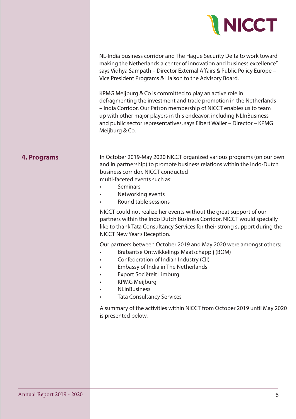

NL-India business corridor and The Hague Security Delta to work toward making the Netherlands a center of innovation and business excellence" says Vidhya Sampath – Director External Affairs & Public Policy Europe – Vice President Programs & Liaison to the Advisory Board.

KPMG Meijburg & Co is committed to play an active role in defragmenting the investment and trade promotion in the Netherlands – India Corridor. Our Patron membership of NICCT enables us to team up with other major players in this endeavor, including NLInBusiness and public sector representatives, says Elbert Waller – Director – KPMG Meijburg & Co.

#### **4. Programs**

In October 2019-May 2020 NICCT organized various programs (on our own and in partnership) to promote business relations within the Indo-Dutch business corridor. NICCT conducted multi-faceted events such as:

- **Seminars**
- Networking events
- Round table sessions

NICCT could not realize her events without the great support of our partners within the Indo Dutch Business Corridor. NICCT would specially like to thank Tata Consultancy Services for their strong support during the NICCT New Year's Reception.

Our partners between October 2019 and May 2020 were amongst others:

- Brabantse Ontwikkelings Maatschappij (BOM)
- Confederation of Indian Industry (CII)
- Embassy of India in The Netherlands
- Export Sociëteit Limburg
- KPMG Meijburg
- NLinBusiness
- Tata Consultancy Services

Annual Report 2017-2018 2

A summary of the activities within NICCT from October 2019 until May 2020 is presented below.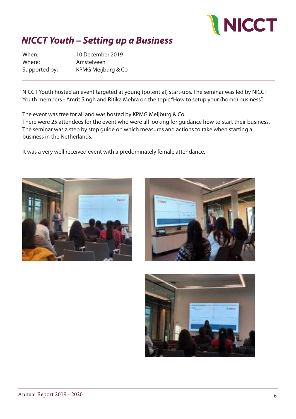

## *NICCT Youth – Setting up a Business*

When: 10 December 2019 Where: Amstelveen Supported by: KPMG Meijburg & Co

NICCT Youth hosted an event targeted at young (potential) start-ups. The seminar was led by NICCT Youth members - Amrit Singh and Ritika Mehra on the topic "How to setup your (home) business".

The event was free for all and was hosted by KPMG Meijburg & Co.

There were 25 attendees for the event who were all looking for guidance how to start their business. The seminar was a step by step guide on which measures and actions to take when starting a business in the Netherlands.

It was a very well received event with a predominately female attendance.





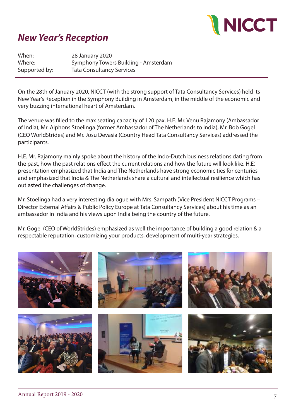

#### *New Year's Reception*

When: 28 January 2020 Where: Symphony Towers Building - Amsterdam Supported by: Tata Consultancy Services

On the 28th of January 2020, NICCT (with the strong support of Tata Consultancy Services) held its New Year's Reception in the Symphony Building in Amsterdam, in the middle of the economic and very buzzing international heart of Amsterdam.

The venue was filled to the max seating capacity of 120 pax. H.E. Mr. Venu Rajamony (Ambassador of India), Mr. Alphons Stoelinga (former Ambassador of The Netherlands to India), Mr. Bob Gogel (CEO WorldStrides) and Mr. Josu Devasia (Country Head Tata Consultancy Services) addressed the participants.

H.E. Mr. Rajamony mainly spoke about the history of the Indo-Dutch business relations dating from the past, how the past relations effect the current relations and how the future will look like. H.E.' presentation emphasized that India and The Netherlands have strong economic ties for centuries and emphasized that India & The Netherlands share a cultural and intellectual resilience which has outlasted the challenges of change.

Mr. Stoelinga had a very interesting dialogue with Mrs. Sampath (Vice President NICCT Programs – Director External Affairs & Public Policy Europe at Tata Consultancy Services) about his time as an ambassador in India and his views upon India being the country of the future.

Mr. Gogel (CEO of WorldStrides) emphasized as well the importance of building a good relation & a respectable reputation, customizing your products, development of multi-year strategies.

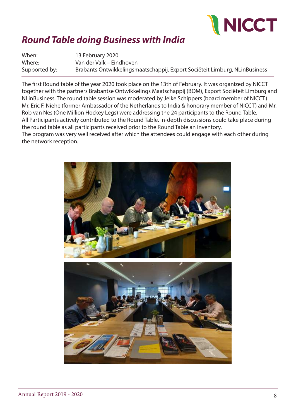

## *Round Table doing Business with India*

When: 13 February 2020 Where: Van der Valk – Eindhoven Supported by: Brabants Ontwikkelingsmaatschappij, Export Sociëteit Limburg, NLinBusiness

The first Round table of the year 2020 took place on the 13th of February. It was organized by NICCT together with the partners Brabantse Ontwikkelings Maatschappij (BOM), Export Sociëteit Limburg and NLinBusiness. The round table session was moderated by Jelke Schippers (board member of NICCT). Mr. Eric F. Niehe (former Ambassador of the Netherlands to India & honorary member of NICCT) and Mr. Rob van Nes (One Million Hockey Legs) were addressing the 24 participants to the Round Table. All Participants actively contributed to the Round Table. In-depth discussions could take place during the round table as all participants received prior to the Round Table an inventory. The program was very well received after which the attendees could engage with each other during the network reception.

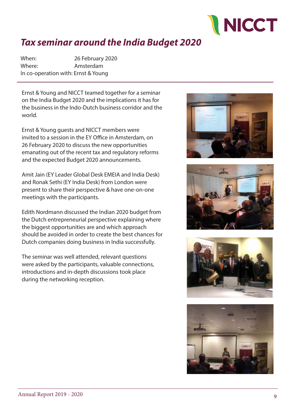

## *Tax seminar around the India Budget 2020*

When: 26 February 2020 Where: Amsterdam In co-operation with: Ernst & Young

Ernst & Young and NICCT teamed together for a seminar on the India Budget 2020 and the implications it has for the business in the Indo-Dutch business corridor and the world.

Ernst & Young guests and NICCT members were invited to a session in the EY Office in Amsterdam, on 26 February 2020 to discuss the new opportunities emanating out of the recent tax and regulatory reforms and the expected Budget 2020 announcements.

Amit Jain (EY Leader Global Desk EMEIA and India Desk) and Ronak Sethi (EY India Desk) from London were present to share their perspective & have one-on-one meetings with the participants.

Edith Nordmann discussed the Indian 2020 budget from the Dutch entrepreneurial perspective explaining where the biggest opportunities are and which approach should be avoided in order to create the best chances for Dutch companies doing business in India successfully.

The seminar was well attended, relevant questions were asked by the participants, valuable connections, introductions and in-depth discussions took place during the networking reception.







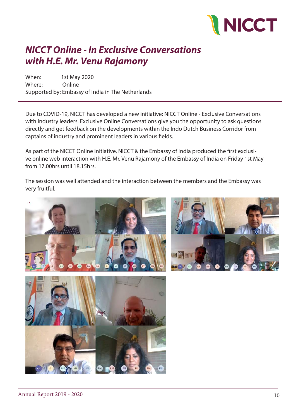

### *NICCT Online - In Exclusive Conversations with H.E. Mr. Venu Rajamony*

When: 1st May 2020 Where: Online Supported by: Embassy of India in The Netherlands

Due to COVID-19, NICCT has developed a new initiative: NICCT Online - Exclusive Conversations with industry leaders. Exclusive Online Conversations give you the opportunity to ask questions directly and get feedback on the developments within the Indo Dutch Business Corridor from captains of industry and prominent leaders in various fields.

As part of the NICCT Online initiative, NICCT & the Embassy of India produced the first exclusive online web interaction with H.E. Mr. Venu Rajamony of the Embassy of India on Friday 1st May from 17.00hrs until 18.15hrs.

The session was well attended and the interaction between the members and the Embassy was very fruitful.





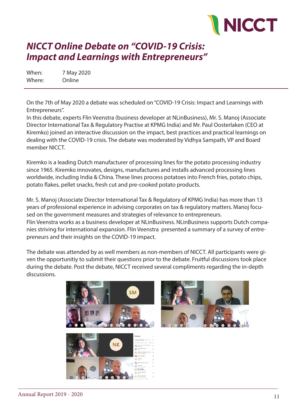

#### *NICCT Online Debate on "COVID-19 Crisis: Impact and Learnings with Entrepreneurs"*

When: 7 May 2020 Where: Online

On the 7th of May 2020 a debate was scheduled on "COVID-19 Crisis: Impact and Learnings with Entrepreneurs".

In this debate, experts Flin Veenstra (business developer at NLinBusiness), Mr. S. Manoj (Associate Director International Tax & Regulatory Practise at KPMG India) and Mr. Paul Oosterlaken (CEO at Kiremko) joined an interactive discussion on the impact, best practices and practical learnings on dealing with the COVID-19 crisis. The debate was moderated by Vidhya Sampath, VP and Board member NICCT.

Kiremko is a leading Dutch manufacturer of processing lines for the potato processing industry since 1965. Kiremko innovates, designs, manufactures and installs advanced processing lines worldwide, including India & China. These lines process potatoes into French fries, potato chips, potato flakes, pellet snacks, fresh cut and pre-cooked potato products.

Mr. S. Manoj (Associate Director International Tax & Regulatory of KPMG India) has more than 13 years of professional experience in advising corporates on tax & regulatory matters. Manoj focused on the government measures and strategies of relevance to entrepreneurs. Flin Veenstra works as a business developer at NLinBusiness. NLinBusiness supports Dutch companies striving for international expansion. Flin Veenstra presented a summary of a survey of entrepreneurs and their insights on the COVID-19 impact.

The debate was attended by as well members as non-members of NICCT. All participants were given the opportunitiy to submit their questions prior to the debate. Fruitful discussions took place during the debate. Post the debate, NICCT received several compliments regarding the in-depth discussions.



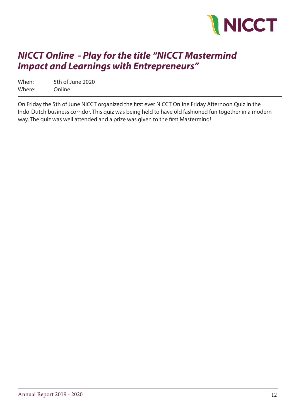

#### *NICCT Online - Play for the title "NICCT Mastermind Impact and Learnings with Entrepreneurs"*

When: 5th of June 2020 Where: Online

On Friday the 5th of June NICCT organized the first ever NICCT Online Friday Afternoon Quiz in the Indo-Dutch business corridor. This quiz was being held to have old fashioned fun together in a modern way. The quiz was well attended and a prize was given to the first Mastermind!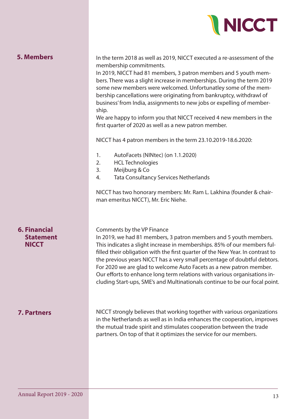

| <b>5. Members</b> |  |  |  |  |  |
|-------------------|--|--|--|--|--|
|-------------------|--|--|--|--|--|

In the term 2018 as well as 2019, NICCT executed a re-assessment of the membership commitments.

In 2019, NICCT had 81 members, 3 patron members and 5 youth members. There was a slight increase in memberships. During the term 2019 some new members were welcomed. Unfortunatley some of the membership cancellations were originating from bankruptcy, withdrawl of business' from India, assignments to new jobs or expelling of membership.

We are happy to inform you that NICCT received 4 new members in the first quarter of 2020 as well as a new patron member.

NICCT has 4 patron members in the term 23.10.2019-18.6.2020:

- 1. AutoFacets (NINtec) (on 1.1.2020)
- 2. HCL Technologies
- 3. Meijburg & Co
- 4. Tata Consultancy Services Netherlands

NICCT has two honorary members: Mr. Ram L. Lakhina (founder & chairman emeritus NICCT), Mr. Eric Niehe.

#### **6. Financial Statement NICCT**

#### **7. Partners**

Comments by the VP Finance

Annual Report 2017-2018 2

In 2019, we had 81 members, 3 patron members and 5 youth members. This indicates a slight increase in memberships. 85% of our members fulfilled their obligation with the first quarter of the New Year. In contrast to the previous years NICCT has a very small percentage of doubtful debtors. For 2020 we are glad to welcome Auto Facets as a new patron member. Our efforts to enhance long term relations with various organisations including Start-ups, SME's and Multinationals continue to be our focal point.

NICCT strongly believes that working together with various organizations in the Netherlands as well as in India enhances the cooperation, improves the mutual trade spirit and stimulates cooperation between the trade partners. On top of that it optimizes the service for our members.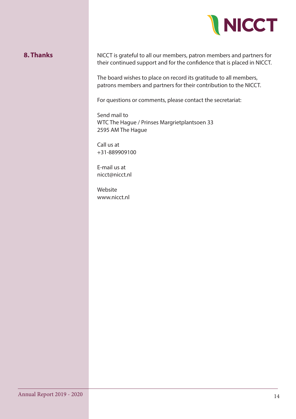

#### **8. Thanks**

NICCT is grateful to all our members, patron members and partners for their continued support and for the confidence that is placed in NICCT.

The board wishes to place on record its gratitude to all members, patrons members and partners for their contribution to the NICCT.

For questions or comments, please contact the secretariat:

Send mail to WTC The Hague / Prinses Margrietplantsoen 33 2595 AM The Hague

Annual Report 2017-2018 2

Call us at +31-889909100

E-mail us at nicct@nicct.nl

Website www.nicct.nl